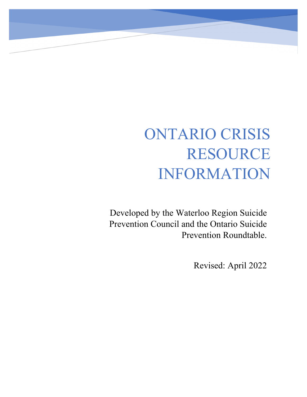# ONTARIO CRISIS RESOURCE INFORMATION

Developed by the Waterloo Region Suicide Prevention Council and the Ontario Suicide Prevention Roundtable.

Revised: April 2022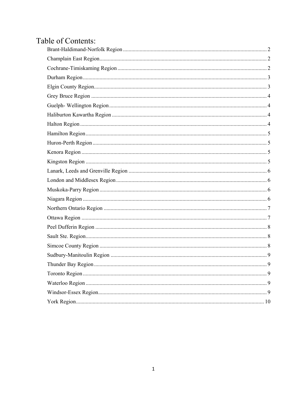## Table of Contents: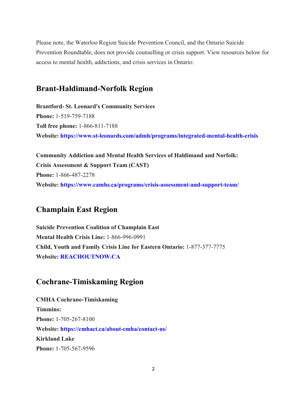Please note, the Waterloo Region Suicide Prevention Council, and the Ontario Suicide Prevention Roundtable, does not provide counselling or crisis support. View resources below for access to mental health, addictions, and crisis services in Ontario:

#### <span id="page-2-0"></span>**Brant-Haldimand-Norfolk Region**

**Brantford- St. Leonard's Community Services Phone:** 1-519-759-7188 **Toll free phone:** 1-866-811-7188 **Website: <https://www.st-leonards.com/admh/programs/integrated-mental-health-crisis>**

**Community Addiction and Mental Health Services of Haldimand and Norfolk: Crisis Assessment & Support Team (CAST) Phone:** 1-866-487-2278 **Website: <https://www.camhs.ca/programs/crisis-assessment-and-support-team/>**

#### <span id="page-2-1"></span>**Champlain East Region**

**Suicide Prevention Coalition of Champlain East Mental Health Crisis Line:** 1-866-996-0991 **Child, Youth and Family Crisis Line for Eastern Ontario:** 1-877-377-7775 **Website: [REACHOUTNOW.CA](http://reachoutnow.ca/)**

## <span id="page-2-2"></span>**Cochrane-Timiskaming Region**

**CMHA Cochrane-Timiskaming Timmins: Phone:** 1-705-267-8100 **Website: <https://cmhact.ca/about-cmha/contact-us/> Kirkland Lake Phone:** 1-705-567-9596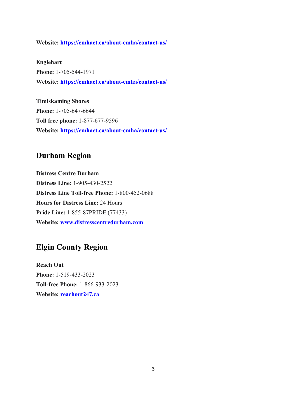**Website: <https://cmhact.ca/about-cmha/contact-us/>**

**Englehart Phone:** 1-705-544-1971 **Website: <https://cmhact.ca/about-cmha/contact-us/>**

**Timiskaming Shores Phone:** 1-705-647-6644 **Toll free phone:** 1-877-677-9596 **Website: <https://cmhact.ca/about-cmha/contact-us/>**

## <span id="page-3-0"></span>**Durham Region**

**Distress Centre Durham Distress Line:** 1-905-430-2522 **Distress Line Toll-free Phone:** 1-800-452-0688 **Hours for Distress Line:** 24 Hours **Pride Line:** 1-855-87PRIDE (77433) **Website: [www.distresscentredurham.com](https://distresscentredurham.com/)**

## <span id="page-3-1"></span>**Elgin County Region**

**Reach Out Phone:** 1-519-433-2023 **Toll-free Phone:** 1-866-933-2023 **Website: [reachout247.ca](http://reachout247.ca/)**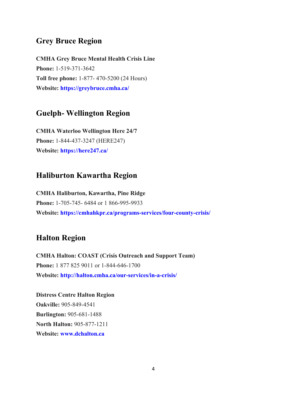#### <span id="page-4-0"></span>**Grey Bruce Region**

**CMHA Grey Bruce Mental Health Crisis Line Phone:** 1-519-371-3642 **Toll free phone:** 1-877- 470-5200 (24 Hours) **Website: <https://greybruce.cmha.ca/>**

#### <span id="page-4-1"></span>**Guelph- Wellington Region**

**CMHA Waterloo Wellington Here 24/7 Phone:** 1-844-437-3247 (HERE247) **Website: <https://here247.ca/>**

## <span id="page-4-2"></span>**Haliburton Kawartha Region**

**CMHA Haliburton, Kawartha, Pine Ridge Phone:** 1-705-745- 6484 or 1 866-995-9933 **Website: <https://cmhahkpr.ca/programs-services/four-county-crisis/>**

#### <span id="page-4-3"></span>**Halton Region**

**CMHA Halton: COAST (Crisis Outreach and Support Team) Phone:** 1 877 825 9011 or 1-844-646-1700 **Website: <http://halton.cmha.ca/our-services/in-a-crisis/>**

**Distress Centre Halton Region Oakville:** 905-849-4541 **Burlington:** 905-681-1488 **North Halton:** 905-877-1211 **Website: [www.dchalton.ca](http://www.dchalton.ca/)**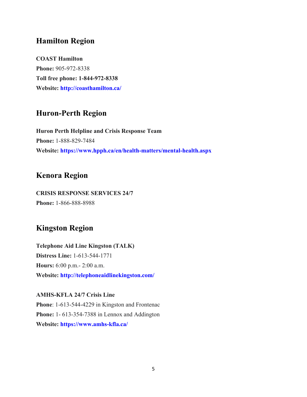## <span id="page-5-0"></span>**Hamilton Region**

**COAST Hamilton Phone:** 905-972-8338 **Toll free phone: 1-844-972-8338 Website: <http://coasthamilton.ca/>**

## <span id="page-5-1"></span>**Huron-Perth Region**

**Huron Perth Helpline and Crisis Response Team Phone:** 1-888-829-7484 **Website: <https://www.hpph.ca/en/health-matters/mental-health.aspx>**

## <span id="page-5-2"></span>**Kenora Region**

**CRISIS RESPONSE SERVICES 24/7 Phone:** 1-866-888-8988

## <span id="page-5-3"></span>**Kingston Region**

**Telephone Aid Line Kingston (TALK) Distress Line:** 1-613-544-1771 **Hours:** 6:00 p.m.- 2:00 a.m. **Website: <http://telephoneaidlinekingston.com/>**

**AMHS-KFLA 24/7 Crisis Line Phone**: 1-613-544-4229 in Kingston and Frontenac **Phone:** 1- 613-354-7388 in Lennox and Addington **Website: <https://www.amhs-kfla.ca/>**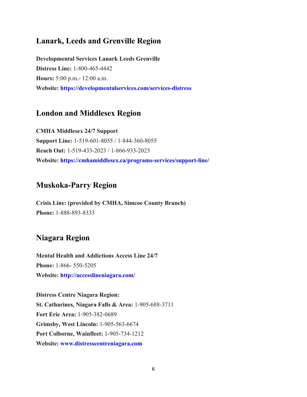## <span id="page-6-0"></span>**Lanark, Leeds and Grenville Region**

**Developmental Services Lanark Leeds Grenville Distress Line:** 1-800-465-4442 **Hours:** 5:00 p.m.- 12:00 a.m. **Website: <https://developmentalservices.com/services-distress>**

## <span id="page-6-1"></span>**London and Middlesex Region**

**CMHA Middlesex 24/7 Support Support Line:** 1-519-601-8055 / 1-844-360-8055 **Reach Out:** 1-519-433-2023 / 1-866-933-2023 **Website: <https://cmhamiddlesex.ca/programs-services/support-line/>**

#### <span id="page-6-2"></span>**Muskoka-Parry Region**

**Crisis Line: (provided by CMHA, Simcoe County Branch) Phone:** 1-888-893-8333

## <span id="page-6-3"></span>**Niagara Region**

**Mental Health and Addictions Access Line 24/7 Phone:** 1-866- 550-5205 **Website: <http://accesslineniagara.com/>**

**Distress Centre Niagara Region: St. Catharines, Niagara Falls & Area:** 1-905-688-3711 **Fort Erie Area:** 1-905-382-0689 **Grimsby, West Lincoln:** 1-905-563-6674 **Port Colborne, Wainfleet:** 1-905-734-1212 **Website: [www.distresscentreniagara.com](http://www.distresscentreniagara.com/)**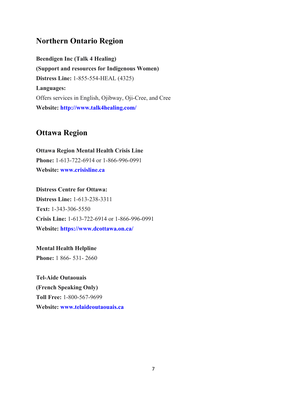#### <span id="page-7-0"></span>**Northern Ontario Region**

**Beendigen Inc (Talk 4 Healing) (Support and resources for Indigenous Women) Distress Line:** 1-855-554-HEAL (4325) **Languages:** Offers services in English, Ojibway, Oji-Cree, and Cree **Website: <http://www.talk4healing.com/>**

#### <span id="page-7-1"></span>**Ottawa Region**

**Ottawa Region Mental Health Crisis Line Phone:** 1-613-722-6914 or 1-866-996-0991 **Website: [www.crisisline.ca](http://www.crisisline.ca/)**

**Distress Centre for Ottawa: Distress Line:** 1-613-238-3311 **Text:** 1-343-306-5550 **Crisis Line:** 1-613-722-6914 or 1-866-996-0991 **Website: <https://www.dcottawa.on.ca/>**

**Mental Health Helpline Phone:** 1 866- 531- 2660

**Tel-Aide Outaouais (French Speaking Only) Toll Free:** 1-800-567-9699 **Website: [www.telaideoutaouais.ca](http://www.telaideoutaouais.ca/)**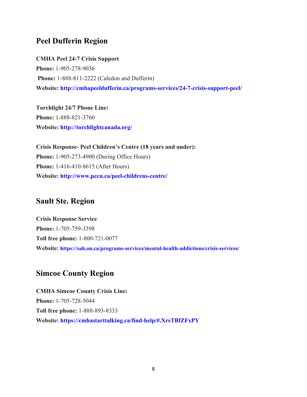## <span id="page-8-0"></span>**Peel Dufferin Region**

**CMHA Peel 24-7 Crisis Support Phone:** 1-905-278-9036 **Phone:** 1-888-811-2222 (Caledon and Dufferin) **Website: <http://cmhapeeldufferin.ca/programs-services/24-7-crisis-support-peel/>**

**Torchlight 24/7 Phone Line: Phone:** 1-888-821-3760 **Website: <http://torchlightcanada.org/>**

**Crisis Response- Peel Children's Centre (18 years and under): Phone:** 1-905-273-4900 (During Office Hours) **Phone:** 1-416-410-8615 (After Hours) **Website: <http://www.pccn.ca/peel-childrens-centre/>**

## <span id="page-8-1"></span>**Sault Ste. Region**

**Crisis Response Service Phone:** 1-705-759-3398 **Toll free phone:** 1-800-721-0077 **Website: <https://sah.on.ca/programs-services/mental-health-addictions/crisis-services/>**

## <span id="page-8-2"></span>**Simcoe County Region**

**CMHA Simcoe County Crisis Line: Phone:** 1-705-728-5044 **Toll free phone:** 1-888-893-8333 **Website: <https://cmhastarttalking.ca/find-help/#.XrsTBfZFxPY>**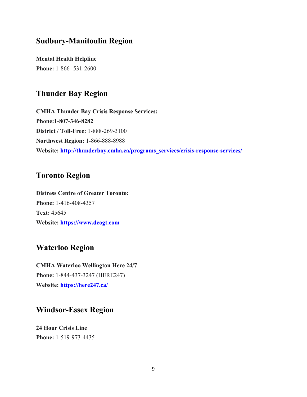#### <span id="page-9-0"></span>**Sudbury-Manitoulin Region**

**Mental Health Helpline Phone:** 1-866- 531-2600

#### <span id="page-9-1"></span>**Thunder Bay Region**

**CMHA Thunder Bay Crisis Response Services: Phone:1-807-346-8282 District / Toll-Free:** 1-888-269-3100 **Northwest Region:** 1-866-888-8988 **Website: [http://thunderbay.cmha.ca/programs\\_services/crisis-response-services/](http://thunderbay.cmha.ca/programs_services/crisis-response-services/)**

#### <span id="page-9-2"></span>**Toronto Region**

**Distress Centre of Greater Toronto: Phone:** 1-416-408-4357 **Text:** 45645 **Website: [https://www.dcogt.com](https://www.dcogt.com/)**

#### <span id="page-9-3"></span>**Waterloo Region**

**CMHA Waterloo Wellington Here 24/7 Phone:** 1-844-437-3247 (HERE247) **Website: <https://here247.ca/>**

#### <span id="page-9-4"></span>**Windsor-Essex Region**

**24 Hour Crisis Line Phone:** 1-519-973-4435